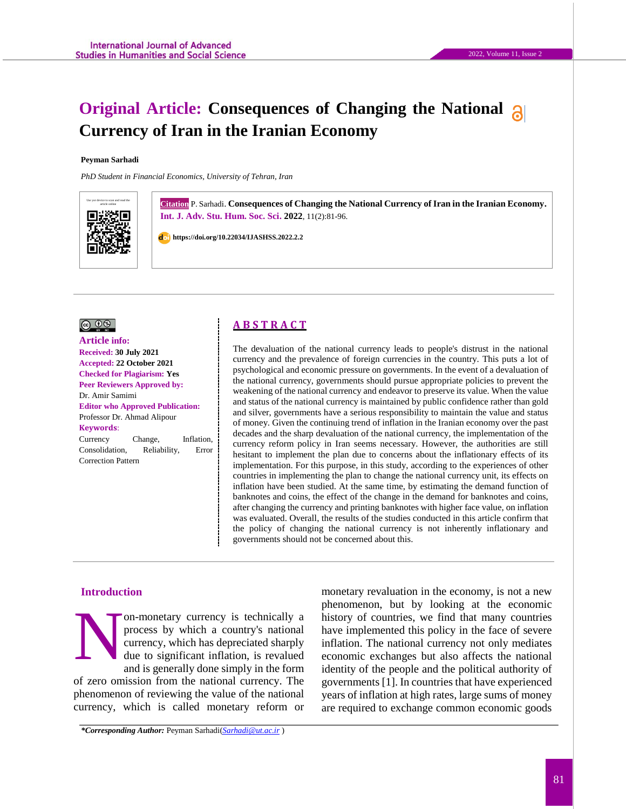#### **Peyman Sarhadi**

*PhD Student in Financial Economics, University of Tehran, Iran*



**Citation** P. Sarhadi. **Consequences of Changing the National Currency of Iran in the Iranian Economy. Int. J. Adv. Stu. Hum. Soc. Sci. 2022**, 11(2):81-96.

2022, Volume 11, Issue 2

 **https://doi.org/10.22034/IJASHSS.2022.2.2**



**Article info: Received: 30 July 2021 Accepted: 22 October 2021 Checked for Plagiarism: Yes Peer Reviewers Approved by:**  Dr. Amir Samimi **Editor who Approved Publication:**  [Professor Dr. Ahmad Alipour](http://www.ijashss.com/journal/editorial.board?edbc=8091) **Keywords**: Currency Change, Inflation, Consolidation, Reliability, Error Correction Pattern

# **A B S T R A C T**

The devaluation of the national currency leads to people's distrust in the national currency and the prevalence of foreign currencies in the country. This puts a lot of psychological and economic pressure on governments. In the event of a devaluation of the national currency, governments should pursue appropriate policies to prevent the weakening of the national currency and endeavor to preserve its value. When the value and status of the national currency is maintained by public confidence rather than gold and silver, governments have a serious responsibility to maintain the value and status of money. Given the continuing trend of inflation in the Iranian economy over the past decades and the sharp devaluation of the national currency, the implementation of the currency reform policy in Iran seems necessary. However, the authorities are still hesitant to implement the plan due to concerns about the inflationary effects of its implementation. For this purpose, in this study, according to the experiences of other countries in implementing the plan to change the national currency unit, its effects on inflation have been studied. At the same time, by estimating the demand function of banknotes and coins, the effect of the change in the demand for banknotes and coins, after changing the currency and printing banknotes with higher face value, on inflation was evaluated. Overall, the results of the studies conducted in this article confirm that the policy of changing the national currency is not inherently inflationary and governments should not be concerned about this.

## **Introduction**

on-monetary currency is technically a process by which a country's national currency, which has depreciated sharply due to significant inflation, is revalued and is generally done simply in the form of zero omission from the national currency. The phenomenon of reviewing the value of the national currency, which is called monetary reform or N

monetary revaluation in the economy, is not a new phenomenon, but by looking at the economic history of countries, we find that many countries have implemented this policy in the face of severe inflation. The national currency not only mediates economic exchanges but also affects the national identity of the people and the political authority of governments [1]. In countries that have experienced years of inflation at high rates, large sums of money are required to exchange common economic goods

*\*Corresponding Author:* Peyman Sarhadi(*[Sarhadi@ut.ac.ir](mailto:Sarhadi@ut.ac.ir)* )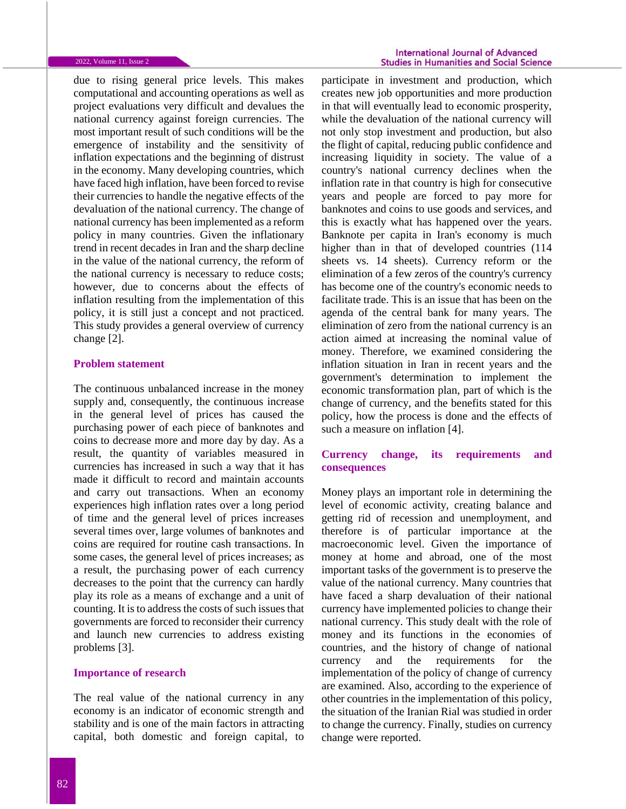due to rising general price levels. This makes computational and accounting operations as well as project evaluations very difficult and devalues the national currency against foreign currencies. The most important result of such conditions will be the emergence of instability and the sensitivity of inflation expectations and the beginning of distrust in the economy. Many developing countries, which have faced high inflation, have been forced to revise their currencies to handle the negative effects of the devaluation of the national currency. The change of national currency has been implemented as a reform policy in many countries. Given the inflationary trend in recent decades in Iran and the sharp decline in the value of the national currency, the reform of the national currency is necessary to reduce costs; however, due to concerns about the effects of inflation resulting from the implementation of this policy, it is still just a concept and not practiced. This study provides a general overview of currency change [2].

### **Problem statement**

The continuous unbalanced increase in the money supply and, consequently, the continuous increase in the general level of prices has caused the purchasing power of each piece of banknotes and coins to decrease more and more day by day. As a result, the quantity of variables measured in currencies has increased in such a way that it has made it difficult to record and maintain accounts and carry out transactions. When an economy experiences high inflation rates over a long period of time and the general level of prices increases several times over, large volumes of banknotes and coins are required for routine cash transactions. In some cases, the general level of prices increases; as a result, the purchasing power of each currency decreases to the point that the currency can hardly play its role as a means of exchange and a unit of counting. It is to address the costs of such issues that governments are forced to reconsider their currency and launch new currencies to address existing problems [3].

### **Importance of research**

The real value of the national currency in any economy is an indicator of economic strength and stability and is one of the main factors in attracting capital, both domestic and foreign capital, to

participate in investment and production, which creates new job opportunities and more production in that will eventually lead to economic prosperity, while the devaluation of the national currency will not only stop investment and production, but also the flight of capital, reducing public confidence and increasing liquidity in society. The value of a country's national currency declines when the inflation rate in that country is high for consecutive years and people are forced to pay more for banknotes and coins to use goods and services, and this is exactly what has happened over the years. Banknote per capita in Iran's economy is much higher than in that of developed countries (114 sheets vs. 14 sheets). Currency reform or the elimination of a few zeros of the country's currency has become one of the country's economic needs to facilitate trade. This is an issue that has been on the agenda of the central bank for many years. The elimination of zero from the national currency is an action aimed at increasing the nominal value of money. Therefore, we examined considering the inflation situation in Iran in recent years and the government's determination to implement the economic transformation plan, part of which is the change of currency, and the benefits stated for this policy, how the process is done and the effects of such a measure on inflation [4].

# **Currency change, its requirements and consequences**

Money plays an important role in determining the level of economic activity, creating balance and getting rid of recession and unemployment, and therefore is of particular importance at the macroeconomic level. Given the importance of money at home and abroad, one of the most important tasks of the government is to preserve the value of the national currency. Many countries that have faced a sharp devaluation of their national currency have implemented policies to change their national currency. This study dealt with the role of money and its functions in the economies of countries, and the history of change of national currency and the requirements for the implementation of the policy of change of currency are examined. Also, according to the experience of other countries in the implementation of this policy, the situation of the Iranian Rial was studied in order to change the currency. Finally, studies on currency change were reported.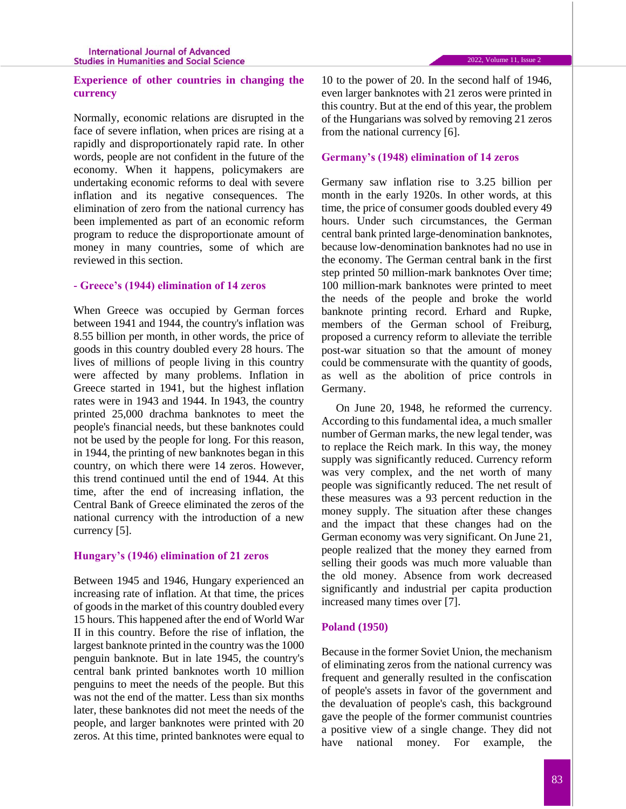# **Experience of other countries in changing the currency**

Normally, economic relations are disrupted in the face of severe inflation, when prices are rising at a rapidly and disproportionately rapid rate. In other words, people are not confident in the future of the economy. When it happens, policymakers are undertaking economic reforms to deal with severe inflation and its negative consequences. The elimination of zero from the national currency has been implemented as part of an economic reform program to reduce the disproportionate amount of money in many countries, some of which are reviewed in this section.

### **- Greece's (1944) elimination of 14 zeros**

When Greece was occupied by German forces between 1941 and 1944, the country's inflation was 8.55 billion per month, in other words, the price of goods in this country doubled every 28 hours. The lives of millions of people living in this country were affected by many problems. Inflation in Greece started in 1941, but the highest inflation rates were in 1943 and 1944. In 1943, the country printed 25,000 drachma banknotes to meet the people's financial needs, but these banknotes could not be used by the people for long. For this reason, in 1944, the printing of new banknotes began in this country, on which there were 14 zeros. However, this trend continued until the end of 1944. At this time, after the end of increasing inflation, the Central Bank of Greece eliminated the zeros of the national currency with the introduction of a new currency [5].

## **Hungary's (1946) elimination of 21 zeros**

Between 1945 and 1946, Hungary experienced an increasing rate of inflation. At that time, the prices of goods in the market of this country doubled every 15 hours. This happened after the end of World War II in this country. Before the rise of inflation, the largest banknote printed in the country was the 1000 penguin banknote. But in late 1945, the country's central bank printed banknotes worth 10 million penguins to meet the needs of the people. But this was not the end of the matter. Less than six months later, these banknotes did not meet the needs of the people, and larger banknotes were printed with 20 zeros. At this time, printed banknotes were equal to 10 to the power of 20. In the second half of 1946, even larger banknotes with 21 zeros were printed in this country. But at the end of this year, the problem of the Hungarians was solved by removing 21 zeros from the national currency [6].

## **Germany's (1948) elimination of 14 zeros**

Germany saw inflation rise to 3.25 billion per month in the early 1920s. In other words, at this time, the price of consumer goods doubled every 49 hours. Under such circumstances, the German central bank printed large-denomination banknotes, because low-denomination banknotes had no use in the economy. The German central bank in the first step printed 50 million-mark banknotes Over time; 100 million-mark banknotes were printed to meet the needs of the people and broke the world banknote printing record. Erhard and Rupke, members of the German school of Freiburg, proposed a currency reform to alleviate the terrible post-war situation so that the amount of money could be commensurate with the quantity of goods, as well as the abolition of price controls in Germany.

On June 20, 1948, he reformed the currency. According to this fundamental idea, a much smaller number of German marks, the new legal tender, was to replace the Reich mark. In this way, the money supply was significantly reduced. Currency reform was very complex, and the net worth of many people was significantly reduced. The net result of these measures was a 93 percent reduction in the money supply. The situation after these changes and the impact that these changes had on the German economy was very significant. On June 21, people realized that the money they earned from selling their goods was much more valuable than the old money. Absence from work decreased significantly and industrial per capita production increased many times over [7].

# **Poland (1950)**

Because in the former Soviet Union, the mechanism of eliminating zeros from the national currency was frequent and generally resulted in the confiscation of people's assets in favor of the government and the devaluation of people's cash, this background gave the people of the former communist countries a positive view of a single change. They did not have national money. For example, the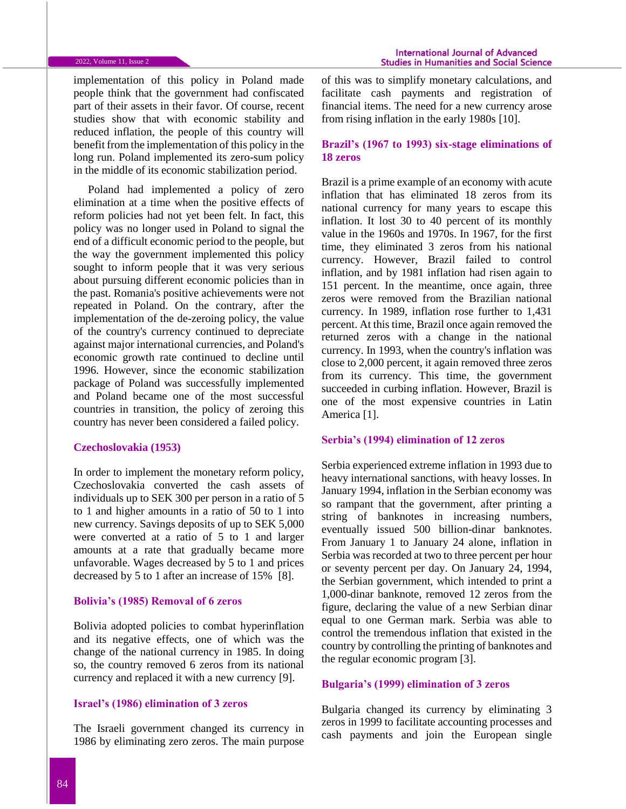implementation of this policy in Poland made people think that the government had confiscated part of their assets in their favor. Of course, recent studies show that with economic stability and reduced inflation, the people of this country will benefit from the implementation of this policy in the long run. Poland implemented its zero-sum policy in the middle of its economic stabilization period.

Poland had implemented a policy of zero elimination at a time when the positive effects of reform policies had not yet been felt. In fact, this policy was no longer used in Poland to signal the end of a difficult economic period to the people, but the way the government implemented this policy sought to inform people that it was very serious about pursuing different economic policies than in the past. Romania's positive achievements were not repeated in Poland. On the contrary, after the implementation of the de-zeroing policy, the value of the country's currency continued to depreciate against major international currencies, and Poland's economic growth rate continued to decline until 1996. However, since the economic stabilization package of Poland was successfully implemented and Poland became one of the most successful countries in transition, the policy of zeroing this country has never been considered a failed policy.

### **Czechoslovakia (1953)**

In order to implement the monetary reform policy, Czechoslovakia converted the cash assets of individuals up to SEK 300 per person in a ratio of 5 to 1 and higher amounts in a ratio of 50 to 1 into new currency. Savings deposits of up to SEK 5,000 were converted at a ratio of 5 to 1 and larger amounts at a rate that gradually became more unfavorable. Wages decreased by 5 to 1 and prices decreased by 5 to 1 after an increase of 15% [8].

### **Bolivia's (1985) Removal of 6 zeros**

Bolivia adopted policies to combat hyperinflation and its negative effects, one of which was the change of the national currency in 1985. In doing so, the country removed 6 zeros from its national currency and replaced it with a new currency [9].

### **Israel's (1986) elimination of 3 zeros**

The Israeli government changed its currency in 1986 by eliminating zero zeros. The main purpose

of this was to simplify monetary calculations, and facilitate cash payments and registration of financial items. The need for a new currency arose from rising inflation in the early 1980s [10].

# **Brazil's (1967 to 1993) six-stage eliminations of 18 zeros**

Brazil is a prime example of an economy with acute inflation that has eliminated 18 zeros from its national currency for many years to escape this inflation. It lost 30 to 40 percent of its monthly value in the 1960s and 1970s. In 1967, for the first time, they eliminated 3 zeros from his national currency. However, Brazil failed to control inflation, and by 1981 inflation had risen again to 151 percent. In the meantime, once again, three zeros were removed from the Brazilian national currency. In 1989, inflation rose further to 1,431 percent. At this time, Brazil once again removed the returned zeros with a change in the national currency. In 1993, when the country's inflation was close to 2,000 percent, it again removed three zeros from its currency. This time, the government succeeded in curbing inflation. However, Brazil is one of the most expensive countries in Latin America [1].

### **Serbia's (1994) elimination of 12 zeros**

Serbia experienced extreme inflation in 1993 due to heavy international sanctions, with heavy losses. In January 1994, inflation in the Serbian economy was so rampant that the government, after printing a string of banknotes in increasing numbers, eventually issued 500 billion-dinar banknotes. From January 1 to January 24 alone, inflation in Serbia was recorded at two to three percent per hour or seventy percent per day. On January 24, 1994, the Serbian government, which intended to print a 1,000-dinar banknote, removed 12 zeros from the figure, declaring the value of a new Serbian dinar equal to one German mark. Serbia was able to control the tremendous inflation that existed in the country by controlling the printing of banknotes and the regular economic program [3].

## **Bulgaria's (1999) elimination of 3 zeros**

Bulgaria changed its currency by eliminating 3 zeros in 1999 to facilitate accounting processes and cash payments and join the European single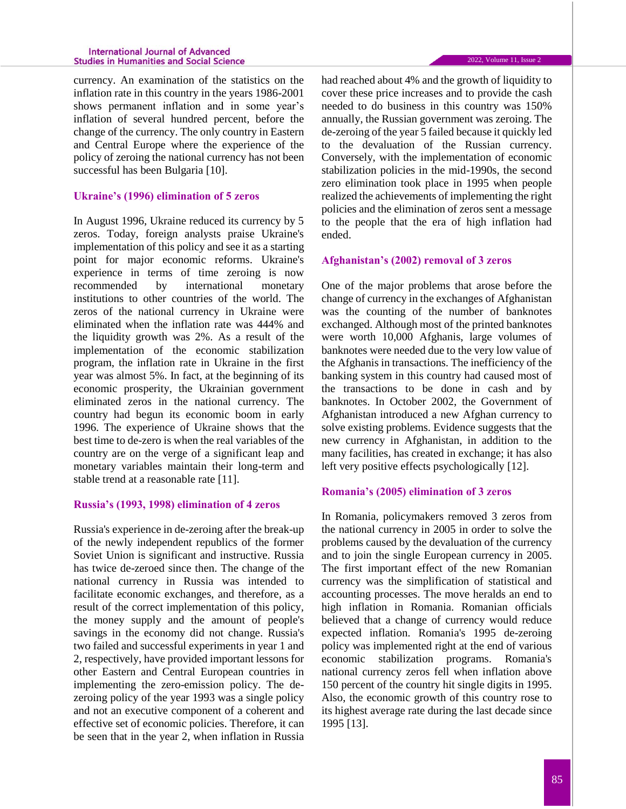currency. An examination of the statistics on the inflation rate in this country in the years 1986-2001 shows permanent inflation and in some year's inflation of several hundred percent, before the change of the currency. The only country in Eastern and Central Europe where the experience of the policy of zeroing the national currency has not been successful has been Bulgaria [10].

# **Ukraine's (1996) elimination of 5 zeros**

In August 1996, Ukraine reduced its currency by 5 zeros. Today, foreign analysts praise Ukraine's implementation of this policy and see it as a starting point for major economic reforms. Ukraine's experience in terms of time zeroing is now recommended by international monetary institutions to other countries of the world. The zeros of the national currency in Ukraine were eliminated when the inflation rate was 444% and the liquidity growth was 2%. As a result of the implementation of the economic stabilization program, the inflation rate in Ukraine in the first year was almost 5%. In fact, at the beginning of its economic prosperity, the Ukrainian government eliminated zeros in the national currency. The country had begun its economic boom in early 1996. The experience of Ukraine shows that the best time to de-zero is when the real variables of the country are on the verge of a significant leap and monetary variables maintain their long-term and stable trend at a reasonable rate [11].

## **Russia's (1993, 1998) elimination of 4 zeros**

Russia's experience in de-zeroing after the break-up of the newly independent republics of the former Soviet Union is significant and instructive. Russia has twice de-zeroed since then. The change of the national currency in Russia was intended to facilitate economic exchanges, and therefore, as a result of the correct implementation of this policy, the money supply and the amount of people's savings in the economy did not change. Russia's two failed and successful experiments in year 1 and 2, respectively, have provided important lessons for other Eastern and Central European countries in implementing the zero-emission policy. The dezeroing policy of the year 1993 was a single policy and not an executive component of a coherent and effective set of economic policies. Therefore, it can be seen that in the year 2, when inflation in Russia

had reached about 4% and the growth of liquidity to cover these price increases and to provide the cash needed to do business in this country was 150% annually, the Russian government was zeroing. The de-zeroing of the year 5 failed because it quickly led to the devaluation of the Russian currency. Conversely, with the implementation of economic stabilization policies in the mid-1990s, the second zero elimination took place in 1995 when people realized the achievements of implementing the right policies and the elimination of zeros sent a message to the people that the era of high inflation had ended.

## **Afghanistan's (2002) removal of 3 zeros**

One of the major problems that arose before the change of currency in the exchanges of Afghanistan was the counting of the number of banknotes exchanged. Although most of the printed banknotes were worth 10,000 Afghanis, large volumes of banknotes were needed due to the very low value of the Afghanis in transactions. The inefficiency of the banking system in this country had caused most of the transactions to be done in cash and by banknotes. In October 2002, the Government of Afghanistan introduced a new Afghan currency to solve existing problems. Evidence suggests that the new currency in Afghanistan, in addition to the many facilities, has created in exchange; it has also left very positive effects psychologically [12].

## **Romania's (2005) elimination of 3 zeros**

In Romania, policymakers removed 3 zeros from the national currency in 2005 in order to solve the problems caused by the devaluation of the currency and to join the single European currency in 2005. The first important effect of the new Romanian currency was the simplification of statistical and accounting processes. The move heralds an end to high inflation in Romania. Romanian officials believed that a change of currency would reduce expected inflation. Romania's 1995 de-zeroing policy was implemented right at the end of various economic stabilization programs. Romania's national currency zeros fell when inflation above 150 percent of the country hit single digits in 1995. Also, the economic growth of this country rose to its highest average rate during the last decade since 1995 [13].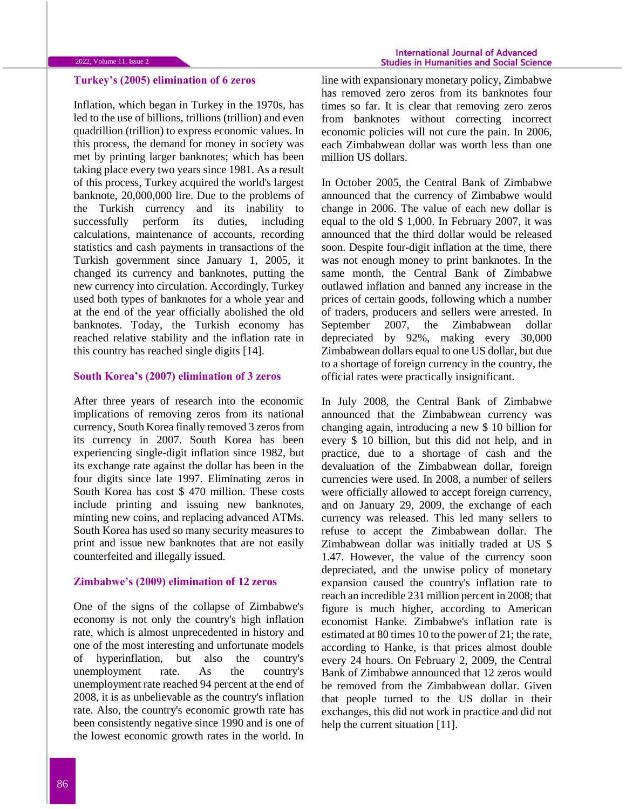## **Turkey's (2005) elimination of 6 zeros**

Inflation, which began in Turkey in the 1970s, has led to the use of billions, trillions (trillion) and even quadrillion (trillion) to express economic values. In this process, the demand for money in society was met by printing larger banknotes; which has been taking place every two years since 1981. As a result of this process, Turkey acquired the world's largest banknote, 20,000,000 lire. Due to the problems of the Turkish currency and its inability to successfully perform its duties, including calculations, maintenance of accounts, recording statistics and cash payments in transactions of the Turkish government since January 1, 2005, it changed its currency and banknotes, putting the new currency into circulation. Accordingly, Turkey used both types of banknotes for a whole year and at the end of the year officially abolished the old banknotes. Today, the Turkish economy has reached relative stability and the inflation rate in this country has reached single digits [14].

# **South Korea's (2007) elimination of 3 zeros**

After three years of research into the economic implications of removing zeros from its national currency, South Korea finally removed 3 zeros from its currency in 2007. South Korea has been experiencing single-digit inflation since 1982, but its exchange rate against the dollar has been in the four digits since late 1997. Eliminating zeros in South Korea has cost \$ 470 million. These costs include printing and issuing new banknotes, minting new coins, and replacing advanced ATMs. South Korea has used so many security measures to print and issue new banknotes that are not easily counterfeited and illegally issued.

### **Zimbabwe's (2009) elimination of 12 zeros**

One of the signs of the collapse of Zimbabwe's economy is not only the country's high inflation rate, which is almost unprecedented in history and one of the most interesting and unfortunate models of hyperinflation, but also the country's unemployment rate. As the country's unemployment rate reached 94 percent at the end of 2008, it is as unbelievable as the country's inflation rate. Also, the country's economic growth rate has been consistently negative since 1990 and is one of the lowest economic growth rates in the world. In

line with expansionary monetary policy, Zimbabwe has removed zero zeros from its banknotes four times so far. It is clear that removing zero zeros from banknotes without correcting incorrect economic policies will not cure the pain. In 2006, each Zimbabwean dollar was worth less than one million US dollars.

In October 2005, the Central Bank of Zimbabwe announced that the currency of Zimbabwe would change in 2006. The value of each new dollar is equal to the old \$ 1,000. In February 2007, it was announced that the third dollar would be released soon. Despite four-digit inflation at the time, there was not enough money to print banknotes. In the same month, the Central Bank of Zimbabwe outlawed inflation and banned any increase in the prices of certain goods, following which a number of traders, producers and sellers were arrested. In September 2007, the Zimbabwean dollar depreciated by 92%, making every 30,000 Zimbabwean dollars equal to one US dollar, but due to a shortage of foreign currency in the country, the official rates were practically insignificant.

In July 2008, the Central Bank of Zimbabwe announced that the Zimbabwean currency was changing again, introducing a new \$ 10 billion for every \$ 10 billion, but this did not help, and in practice, due to a shortage of cash and the devaluation of the Zimbabwean dollar, foreign currencies were used. In 2008, a number of sellers were officially allowed to accept foreign currency, and on January 29, 2009, the exchange of each currency was released. This led many sellers to refuse to accept the Zimbabwean dollar. The Zimbabwean dollar was initially traded at US \$ 1.47. However, the value of the currency soon depreciated, and the unwise policy of monetary expansion caused the country's inflation rate to reach an incredible 231 million percent in 2008; that figure is much higher, according to American economist Hanke. Zimbabwe's inflation rate is estimated at 80 times 10 to the power of 21; the rate, according to Hanke, is that prices almost double every 24 hours. On February 2, 2009, the Central Bank of Zimbabwe announced that 12 zeros would be removed from the Zimbabwean dollar. Given that people turned to the US dollar in their exchanges, this did not work in practice and did not help the current situation [11].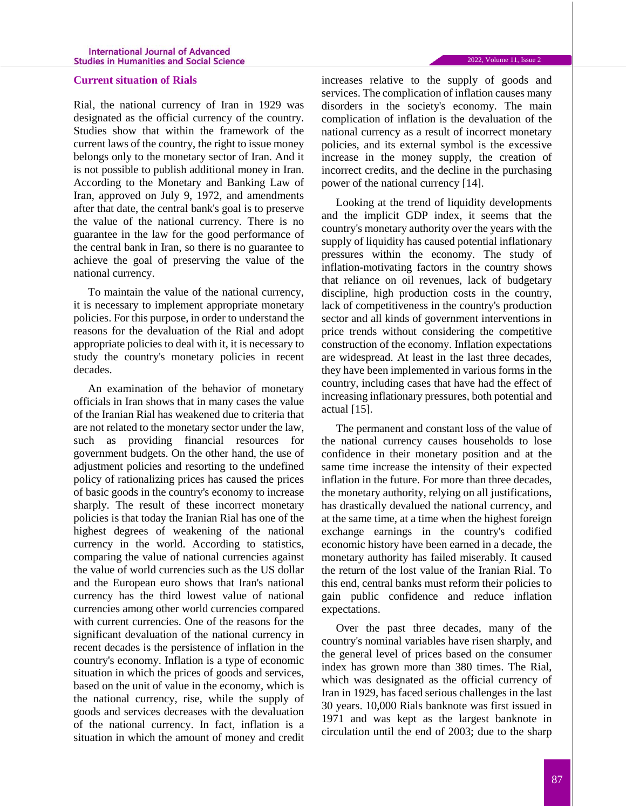## **Current situation of Rials**

Rial, the national currency of Iran in 1929 was designated as the official currency of the country. Studies show that within the framework of the current laws of the country, the right to issue money belongs only to the monetary sector of Iran. And it is not possible to publish additional money in Iran. According to the Monetary and Banking Law of Iran, approved on July 9, 1972, and amendments after that date, the central bank's goal is to preserve the value of the national currency. There is no guarantee in the law for the good performance of the central bank in Iran, so there is no guarantee to achieve the goal of preserving the value of the national currency.

To maintain the value of the national currency, it is necessary to implement appropriate monetary policies. For this purpose, in order to understand the reasons for the devaluation of the Rial and adopt appropriate policies to deal with it, it is necessary to study the country's monetary policies in recent decades.

An examination of the behavior of monetary officials in Iran shows that in many cases the value of the Iranian Rial has weakened due to criteria that are not related to the monetary sector under the law, such as providing financial resources for government budgets. On the other hand, the use of adjustment policies and resorting to the undefined policy of rationalizing prices has caused the prices of basic goods in the country's economy to increase sharply. The result of these incorrect monetary policies is that today the Iranian Rial has one of the highest degrees of weakening of the national currency in the world. According to statistics, comparing the value of national currencies against the value of world currencies such as the US dollar and the European euro shows that Iran's national currency has the third lowest value of national currencies among other world currencies compared with current currencies. One of the reasons for the significant devaluation of the national currency in recent decades is the persistence of inflation in the country's economy. Inflation is a type of economic situation in which the prices of goods and services, based on the unit of value in the economy, which is the national currency, rise, while the supply of goods and services decreases with the devaluation of the national currency. In fact, inflation is a situation in which the amount of money and credit

increases relative to the supply of goods and services. The complication of inflation causes many disorders in the society's economy. The main complication of inflation is the devaluation of the national currency as a result of incorrect monetary policies, and its external symbol is the excessive increase in the money supply, the creation of incorrect credits, and the decline in the purchasing power of the national currency [14].

Looking at the trend of liquidity developments and the implicit GDP index, it seems that the country's monetary authority over the years with the supply of liquidity has caused potential inflationary pressures within the economy. The study of inflation-motivating factors in the country shows that reliance on oil revenues, lack of budgetary discipline, high production costs in the country, lack of competitiveness in the country's production sector and all kinds of government interventions in price trends without considering the competitive construction of the economy. Inflation expectations are widespread. At least in the last three decades, they have been implemented in various forms in the country, including cases that have had the effect of increasing inflationary pressures, both potential and actual [15].

The permanent and constant loss of the value of the national currency causes households to lose confidence in their monetary position and at the same time increase the intensity of their expected inflation in the future. For more than three decades, the monetary authority, relying on all justifications, has drastically devalued the national currency, and at the same time, at a time when the highest foreign exchange earnings in the country's codified economic history have been earned in a decade, the monetary authority has failed miserably. It caused the return of the lost value of the Iranian Rial. To this end, central banks must reform their policies to gain public confidence and reduce inflation expectations.

Over the past three decades, many of the country's nominal variables have risen sharply, and the general level of prices based on the consumer index has grown more than 380 times. The Rial, which was designated as the official currency of Iran in 1929, has faced serious challenges in the last 30 years. 10,000 Rials banknote was first issued in 1971 and was kept as the largest banknote in circulation until the end of 2003; due to the sharp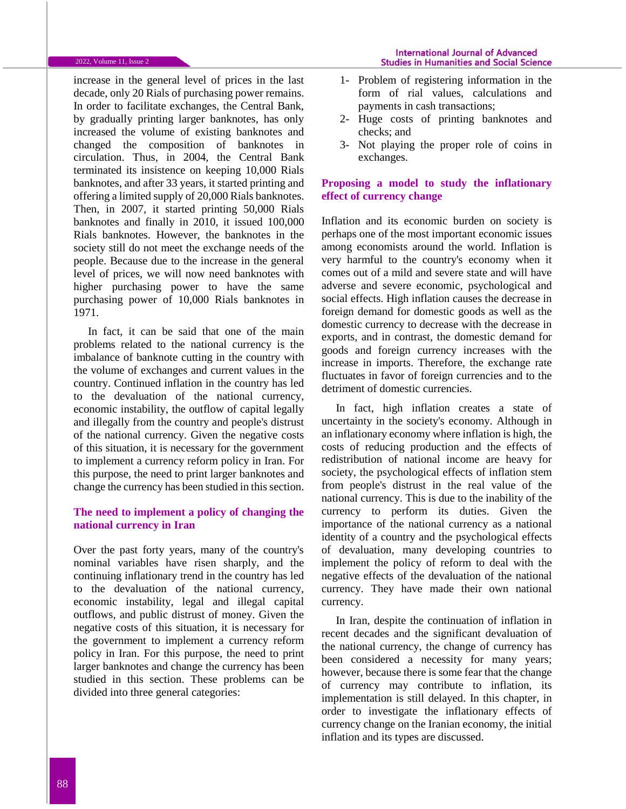increase in the general level of prices in the last decade, only 20 Rials of purchasing power remains. In order to facilitate exchanges, the Central Bank, by gradually printing larger banknotes, has only increased the volume of existing banknotes and changed the composition of banknotes in circulation. Thus, in 2004, the Central Bank terminated its insistence on keeping 10,000 Rials banknotes, and after 33 years, it started printing and offering a limited supply of 20,000 Rials banknotes. Then, in 2007, it started printing 50,000 Rials banknotes and finally in 2010, it issued 100,000 Rials banknotes. However, the banknotes in the society still do not meet the exchange needs of the people. Because due to the increase in the general level of prices, we will now need banknotes with higher purchasing power to have the same purchasing power of 10,000 Rials banknotes in 1971.

In fact, it can be said that one of the main problems related to the national currency is the imbalance of banknote cutting in the country with the volume of exchanges and current values in the country. Continued inflation in the country has led to the devaluation of the national currency, economic instability, the outflow of capital legally and illegally from the country and people's distrust of the national currency. Given the negative costs of this situation, it is necessary for the government to implement a currency reform policy in Iran. For this purpose, the need to print larger banknotes and change the currency has been studied in this section.

# **The need to implement a policy of changing the national currency in Iran**

Over the past forty years, many of the country's nominal variables have risen sharply, and the continuing inflationary trend in the country has led to the devaluation of the national currency, economic instability, legal and illegal capital outflows, and public distrust of money. Given the negative costs of this situation, it is necessary for the government to implement a currency reform policy in Iran. For this purpose, the need to print larger banknotes and change the currency has been studied in this section. These problems can be divided into three general categories:

- 1- Problem of registering information in the form of rial values, calculations and payments in cash transactions;
- 2- Huge costs of printing banknotes and checks; and
- 3- Not playing the proper role of coins in exchanges.

## **Proposing a model to study the inflationary effect of currency change**

Inflation and its economic burden on society is perhaps one of the most important economic issues among economists around the world. Inflation is very harmful to the country's economy when it comes out of a mild and severe state and will have adverse and severe economic, psychological and social effects. High inflation causes the decrease in foreign demand for domestic goods as well as the domestic currency to decrease with the decrease in exports, and in contrast, the domestic demand for goods and foreign currency increases with the increase in imports. Therefore, the exchange rate fluctuates in favor of foreign currencies and to the detriment of domestic currencies.

In fact, high inflation creates a state of uncertainty in the society's economy. Although in an inflationary economy where inflation is high, the costs of reducing production and the effects of redistribution of national income are heavy for society, the psychological effects of inflation stem from people's distrust in the real value of the national currency. This is due to the inability of the currency to perform its duties. Given the importance of the national currency as a national identity of a country and the psychological effects of devaluation, many developing countries to implement the policy of reform to deal with the negative effects of the devaluation of the national currency. They have made their own national currency.

In Iran, despite the continuation of inflation in recent decades and the significant devaluation of the national currency, the change of currency has been considered a necessity for many years; however, because there is some fear that the change of currency may contribute to inflation, its implementation is still delayed. In this chapter, in order to investigate the inflationary effects of currency change on the Iranian economy, the initial inflation and its types are discussed.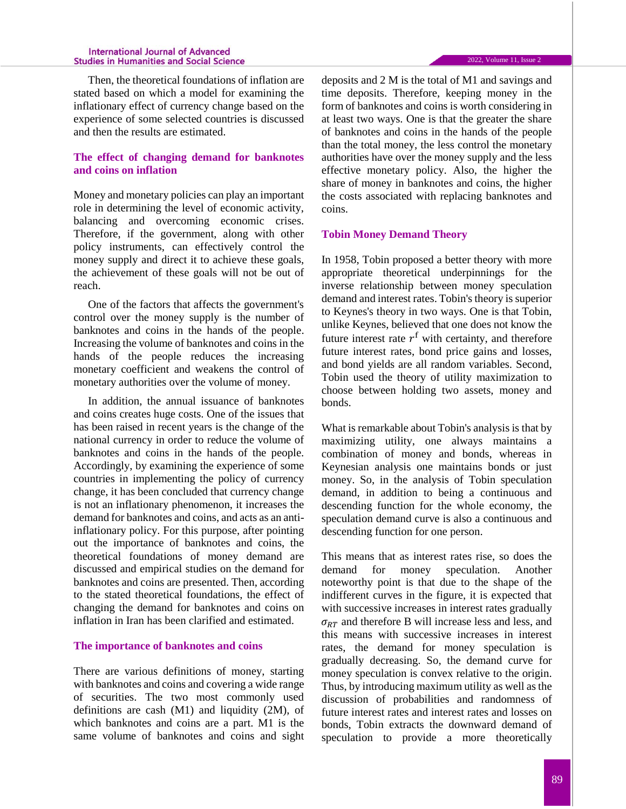Then, the theoretical foundations of inflation are stated based on which a model for examining the inflationary effect of currency change based on the experience of some selected countries is discussed and then the results are estimated.

# **The effect of changing demand for banknotes and coins on inflation**

Money and monetary policies can play an important role in determining the level of economic activity, balancing and overcoming economic crises. Therefore, if the government, along with other policy instruments, can effectively control the money supply and direct it to achieve these goals, the achievement of these goals will not be out of reach.

One of the factors that affects the government's control over the money supply is the number of banknotes and coins in the hands of the people. Increasing the volume of banknotes and coins in the hands of the people reduces the increasing monetary coefficient and weakens the control of monetary authorities over the volume of money.

In addition, the annual issuance of banknotes and coins creates huge costs. One of the issues that has been raised in recent years is the change of the national currency in order to reduce the volume of banknotes and coins in the hands of the people. Accordingly, by examining the experience of some countries in implementing the policy of currency change, it has been concluded that currency change is not an inflationary phenomenon, it increases the demand for banknotes and coins, and acts as an antiinflationary policy. For this purpose, after pointing out the importance of banknotes and coins, the theoretical foundations of money demand are discussed and empirical studies on the demand for banknotes and coins are presented. Then, according to the stated theoretical foundations, the effect of changing the demand for banknotes and coins on inflation in Iran has been clarified and estimated.

### **The importance of banknotes and coins**

There are various definitions of money, starting with banknotes and coins and covering a wide range of securities. The two most commonly used definitions are cash (M1) and liquidity (2M), of which banknotes and coins are a part. M1 is the same volume of banknotes and coins and sight deposits and 2 M is the total of M1 and savings and time deposits. Therefore, keeping money in the form of banknotes and coins is worth considering in at least two ways. One is that the greater the share of banknotes and coins in the hands of the people than the total money, the less control the monetary authorities have over the money supply and the less effective monetary policy. Also, the higher the share of money in banknotes and coins, the higher the costs associated with replacing banknotes and coins.

### **Tobin Money Demand Theory**

In 1958, Tobin proposed a better theory with more appropriate theoretical underpinnings for the inverse relationship between money speculation demand and interest rates. Tobin's theory is superior to Keynes's theory in two ways. One is that Tobin, unlike Keynes, believed that one does not know the future interest rate  $r<sup>f</sup>$  with certainty, and therefore future interest rates, bond price gains and losses, and bond yields are all random variables. Second, Tobin used the theory of utility maximization to choose between holding two assets, money and bonds.

What is remarkable about Tobin's analysis is that by maximizing utility, one always maintains a combination of money and bonds, whereas in Keynesian analysis one maintains bonds or just money. So, in the analysis of Tobin speculation demand, in addition to being a continuous and descending function for the whole economy, the speculation demand curve is also a continuous and descending function for one person.

This means that as interest rates rise, so does the demand for money speculation. Another noteworthy point is that due to the shape of the indifferent curves in the figure, it is expected that with successive increases in interest rates gradually  $\sigma_{RT}$  and therefore B will increase less and less, and this means with successive increases in interest rates, the demand for money speculation is gradually decreasing. So, the demand curve for money speculation is convex relative to the origin. Thus, by introducing maximum utility as well as the discussion of probabilities and randomness of future interest rates and interest rates and losses on bonds, Tobin extracts the downward demand of speculation to provide a more theoretically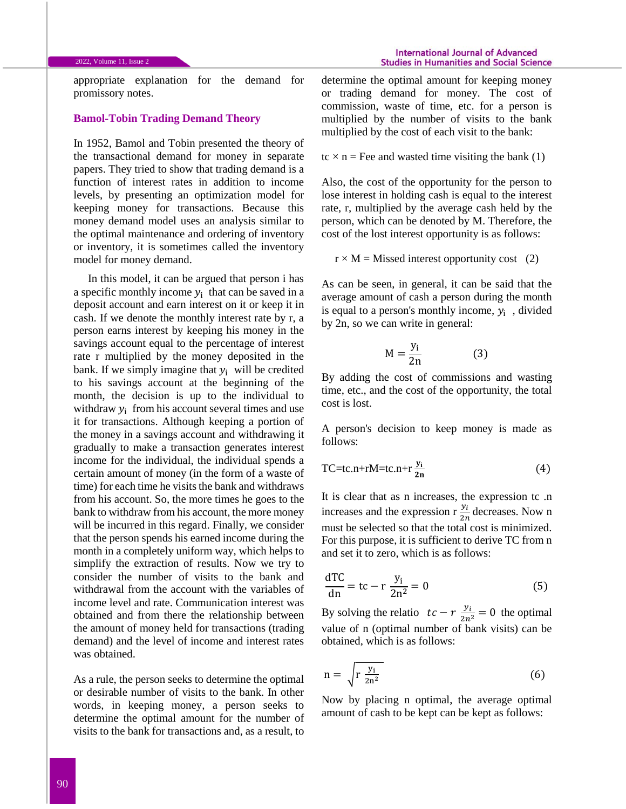appropriate explanation for the demand for promissory notes.

## **Bamol-Tobin Trading Demand Theory**

In 1952, Bamol and Tobin presented the theory of the transactional demand for money in separate papers. They tried to show that trading demand is a function of interest rates in addition to income levels, by presenting an optimization model for keeping money for transactions. Because this money demand model uses an analysis similar to the optimal maintenance and ordering of inventory or inventory, it is sometimes called the inventory model for money demand.

In this model, it can be argued that person i has a specific monthly income  $y_i$  that can be saved in a deposit account and earn interest on it or keep it in cash. If we denote the monthly interest rate by r, a person earns interest by keeping his money in the savings account equal to the percentage of interest rate r multiplied by the money deposited in the bank. If we simply imagine that  $y_i$  will be credited to his savings account at the beginning of the month, the decision is up to the individual to withdraw  $y_i$  from his account several times and use it for transactions. Although keeping a portion of the money in a savings account and withdrawing it gradually to make a transaction generates interest income for the individual, the individual spends a certain amount of money (in the form of a waste of time) for each time he visits the bank and withdraws from his account. So, the more times he goes to the bank to withdraw from his account, the more money will be incurred in this regard. Finally, we consider that the person spends his earned income during the month in a completely uniform way, which helps to simplify the extraction of results. Now we try to consider the number of visits to the bank and withdrawal from the account with the variables of income level and rate. Communication interest was obtained and from there the relationship between the amount of money held for transactions (trading demand) and the level of income and interest rates was obtained.

As a rule, the person seeks to determine the optimal or desirable number of visits to the bank. In other words, in keeping money, a person seeks to determine the optimal amount for the number of visits to the bank for transactions and, as a result, to

determine the optimal amount for keeping money or trading demand for money. The cost of commission, waste of time, etc. for a person is multiplied by the number of visits to the bank multiplied by the cost of each visit to the bank:

$$
tc \times n =
$$
 Free and wasted time visiting the bank (1)

Also, the cost of the opportunity for the person to lose interest in holding cash is equal to the interest rate, r, multiplied by the average cash held by the person, which can be denoted by M. Therefore, the cost of the lost interest opportunity is as follows:

 $r \times M$  = Missed interest opportunity cost (2)

As can be seen, in general, it can be said that the average amount of cash a person during the month is equal to a person's monthly income,  $y_i$ , divided by 2n, so we can write in general:

$$
M = \frac{y_i}{2n} \tag{3}
$$

By adding the cost of commissions and wasting time, etc., and the cost of the opportunity, the total cost is lost.

A person's decision to keep money is made as follows:

$$
TC = tc.n + rM = tc.n + r\frac{y_i}{2n}
$$
 (4)

It is clear that as n increases, the expression tc .n increases and the expression r  $\frac{y_i}{2n}$  decreases. Now n must be selected so that the total cost is minimized. For this purpose, it is sufficient to derive TC from n and set it to zero, which is as follows:

$$
\frac{\text{dTC}}{\text{dn}} = \text{tc} - \text{r} \frac{\text{y}_i}{2\text{n}^2} = 0 \tag{5}
$$

By solving the relatio  $tc - r \frac{y_i}{2n^2} = 0$  the optimal value of n (optimal number of bank visits) can be obtained, which is as follows:

$$
n = \sqrt{r \frac{y_i}{2n^2}}
$$
 (6)

Now by placing n optimal, the average optimal amount of cash to be kept can be kept as follows: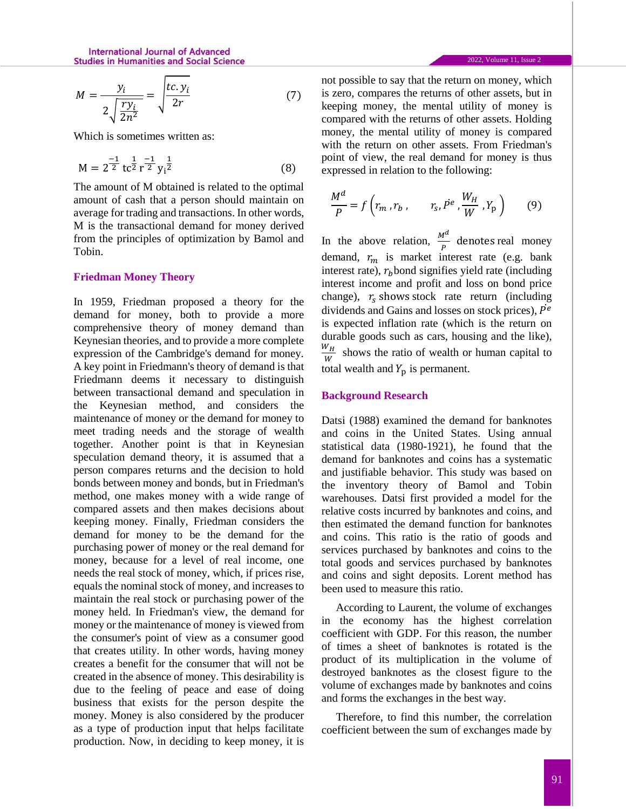$$
M = \frac{y_i}{2\sqrt{\frac{ry_i}{2n^2}}} = \sqrt{\frac{tc.y_i}{2r}}
$$
(7)

Which is sometimes written as:

$$
M = 2^{\frac{-1}{2}} t c^{\frac{1}{2}} r^{\frac{-1}{2}} y_i^{\frac{1}{2}}
$$
 (8)

The amount of M obtained is related to the optimal amount of cash that a person should maintain on average for trading and transactions. In other words, M is the transactional demand for money derived from the principles of optimization by Bamol and Tobin.

### **Friedman Money Theory**

In 1959, Friedman proposed a theory for the demand for money, both to provide a more comprehensive theory of money demand than Keynesian theories, and to provide a more complete expression of the Cambridge's demand for money. A key point in Friedmann's theory of demand is that Friedmann deems it necessary to distinguish between transactional demand and speculation in the Keynesian method, and considers the maintenance of money or the demand for money to meet trading needs and the storage of wealth together. Another point is that in Keynesian speculation demand theory, it is assumed that a person compares returns and the decision to hold bonds between money and bonds, but in Friedman's method, one makes money with a wide range of compared assets and then makes decisions about keeping money. Finally, Friedman considers the demand for money to be the demand for the purchasing power of money or the real demand for money, because for a level of real income, one needs the real stock of money, which, if prices rise, equals the nominal stock of money, and increases to maintain the real stock or purchasing power of the money held. In Friedman's view, the demand for money or the maintenance of money is viewed from the consumer's point of view as a consumer good that creates utility. In other words, having money creates a benefit for the consumer that will not be created in the absence of money. This desirability is due to the feeling of peace and ease of doing business that exists for the person despite the money. Money is also considered by the producer as a type of production input that helps facilitate production. Now, in deciding to keep money, it is

2022, Volume 11, Issue 2

not possible to say that the return on money, which is zero, compares the returns of other assets, but in keeping money, the mental utility of money is compared with the returns of other assets. Holding money, the mental utility of money is compared with the return on other assets. From Friedman's point of view, the real demand for money is thus expressed in relation to the following:

$$
\frac{M^d}{P} = f\left(r_m, r_b, \qquad r_s, P^e, \frac{W_H}{W}, Y_p\right) \tag{9}
$$

In the above relation,  $\frac{M^d}{P}$  denotes real money demand,  $r_m$  is market interest rate (e.g. bank interest rate),  $r<sub>b</sub>$  bond signifies yield rate (including interest income and profit and loss on bond price change),  $r_s$  shows stock rate return (including dividends and Gains and losses on stock prices),  $\dot{P}^e$ is expected inflation rate (which is the return on durable goods such as cars, housing and the like),  $W_H$  $\frac{v_H}{w}$  shows the ratio of wealth or human capital to total wealth and  $Y_p$  is permanent.

#### **Background Research**

Datsi (1988) examined the demand for banknotes and coins in the United States. Using annual statistical data (1980-1921), he found that the demand for banknotes and coins has a systematic and justifiable behavior. This study was based on the inventory theory of Bamol and Tobin warehouses. Datsi first provided a model for the relative costs incurred by banknotes and coins, and then estimated the demand function for banknotes and coins. This ratio is the ratio of goods and services purchased by banknotes and coins to the total goods and services purchased by banknotes and coins and sight deposits. Lorent method has been used to measure this ratio.

According to Laurent, the volume of exchanges in the economy has the highest correlation coefficient with GDP. For this reason, the number of times a sheet of banknotes is rotated is the product of its multiplication in the volume of destroyed banknotes as the closest figure to the volume of exchanges made by banknotes and coins and forms the exchanges in the best way.

Therefore, to find this number, the correlation coefficient between the sum of exchanges made by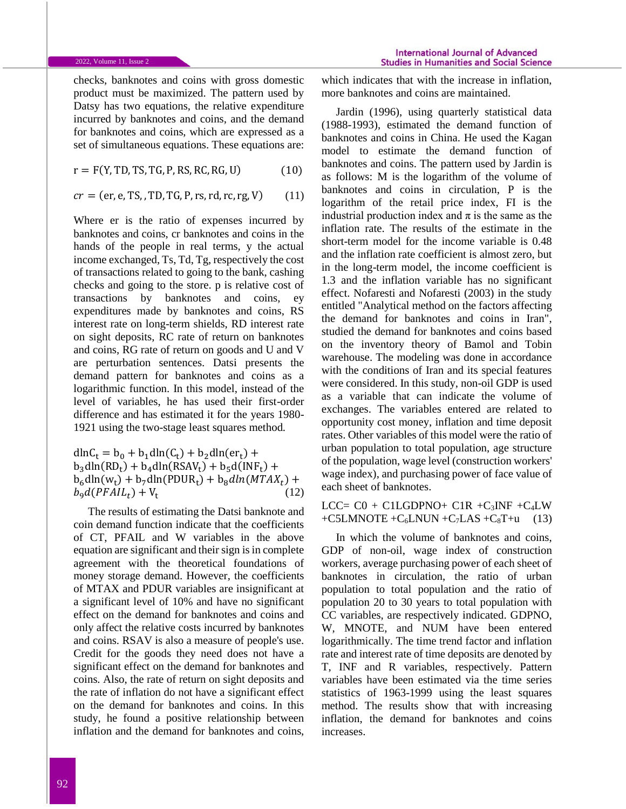checks, banknotes and coins with gross domestic product must be maximized. The pattern used by Datsy has two equations, the relative expenditure incurred by banknotes and coins, and the demand for banknotes and coins, which are expressed as a set of simultaneous equations. These equations are:

 $r = F(Y, TD, TS, TG, P, RS, RC, RG, U)$  (10)

$$
cr = (er, e, TS, TD, TG, P, rs, rd, rc, rg, V)
$$
 (11)

Where er is the ratio of expenses incurred by banknotes and coins, cr banknotes and coins in the hands of the people in real terms, y the actual income exchanged, Ts, Td, Tg, respectively the cost of transactions related to going to the bank, cashing checks and going to the store. p is relative cost of transactions by banknotes and coins, ey expenditures made by banknotes and coins, RS interest rate on long-term shields, RD interest rate on sight deposits, RC rate of return on banknotes and coins, RG rate of return on goods and U and V are perturbation sentences. Datsi presents the demand pattern for banknotes and coins as a logarithmic function. In this model, instead of the level of variables, he has used their first-order difference and has estimated it for the years 1980- 1921 using the two-stage least squares method.

 $dlnC_t = b_0 + b_1 dln(C_t) + b_2 dln(er_t) +$  $b_3$ dln(RD<sub>t</sub>) +  $b_4$ dln(RSAV<sub>t</sub>) +  $b_5$ d(INF<sub>t</sub>) +  $b_6$ dln( $w_t$ ) +  $b_7$ dln(PDUR<sub>t</sub>) +  $b_8$ *dln*(*MTAX<sub>t</sub>*) +  $b_9d(PFAIL_t) + V_t$ (12)

The results of estimating the Datsi banknote and coin demand function indicate that the coefficients of CT, PFAIL and W variables in the above equation are significant and their sign is in complete agreement with the theoretical foundations of money storage demand. However, the coefficients of MTAX and PDUR variables are insignificant at a significant level of 10% and have no significant effect on the demand for banknotes and coins and only affect the relative costs incurred by banknotes and coins. RSAV is also a measure of people's use. Credit for the goods they need does not have a significant effect on the demand for banknotes and coins. Also, the rate of return on sight deposits and the rate of inflation do not have a significant effect on the demand for banknotes and coins. In this study, he found a positive relationship between inflation and the demand for banknotes and coins,

which indicates that with the increase in inflation, more banknotes and coins are maintained.

Jardin (1996), using quarterly statistical data (1988-1993), estimated the demand function of banknotes and coins in China. He used the Kagan model to estimate the demand function of banknotes and coins. The pattern used by Jardin is as follows: M is the logarithm of the volume of banknotes and coins in circulation, P is the logarithm of the retail price index, FI is the industrial production index and  $\pi$  is the same as the inflation rate. The results of the estimate in the short-term model for the income variable is 0.48 and the inflation rate coefficient is almost zero, but in the long-term model, the income coefficient is 1.3 and the inflation variable has no significant effect. Nofaresti and Nofaresti (2003) in the study entitled "Analytical method on the factors affecting the demand for banknotes and coins in Iran", studied the demand for banknotes and coins based on the inventory theory of Bamol and Tobin warehouse. The modeling was done in accordance with the conditions of Iran and its special features were considered. In this study, non-oil GDP is used as a variable that can indicate the volume of exchanges. The variables entered are related to opportunity cost money, inflation and time deposit rates. Other variables of this model were the ratio of urban population to total population, age structure of the population, wage level (construction workers' wage index), and purchasing power of face value of each sheet of banknotes.

LCC=  $CO + C1LGDPNO+ C1R +C_3INF +C_4LW$ +C5LMNOTE + $C_6$ LNUN + $C_7$ LAS + $C_8$ T+u (13)

In which the volume of banknotes and coins, GDP of non-oil, wage index of construction workers, average purchasing power of each sheet of banknotes in circulation, the ratio of urban population to total population and the ratio of population 20 to 30 years to total population with CC variables, are respectively indicated. GDPNO, W, MNOTE, and NUM have been entered logarithmically. The time trend factor and inflation rate and interest rate of time deposits are denoted by T, INF and R variables, respectively. Pattern variables have been estimated via the time series statistics of 1963-1999 using the least squares method. The results show that with increasing inflation, the demand for banknotes and coins increases.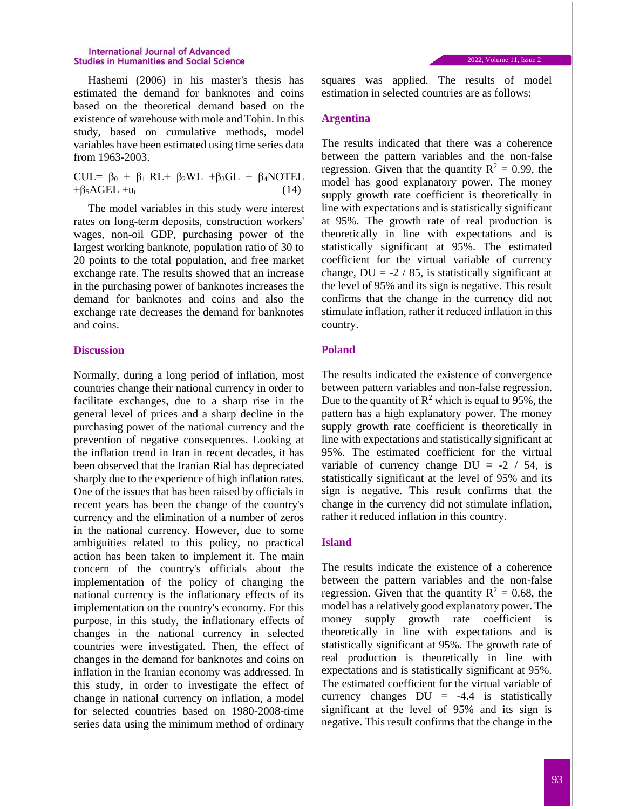Hashemi (2006) in his master's thesis has estimated the demand for banknotes and coins based on the theoretical demand based on the existence of warehouse with mole and Tobin. In this study, based on cumulative methods, model variables have been estimated using time series data from 1963-2003.

CUL=  $\beta_0$  +  $\beta_1$  RL+  $\beta_2$ WL + $\beta_3$ GL +  $\beta_4$ NOTEL  $+\beta_5 \text{AGEL} + \mathbf{u}_t$  (14)

The model variables in this study were interest rates on long-term deposits, construction workers' wages, non-oil GDP, purchasing power of the largest working banknote, population ratio of 30 to 20 points to the total population, and free market exchange rate. The results showed that an increase in the purchasing power of banknotes increases the demand for banknotes and coins and also the exchange rate decreases the demand for banknotes and coins.

### **Discussion**

Normally, during a long period of inflation, most countries change their national currency in order to facilitate exchanges, due to a sharp rise in the general level of prices and a sharp decline in the purchasing power of the national currency and the prevention of negative consequences. Looking at the inflation trend in Iran in recent decades, it has been observed that the Iranian Rial has depreciated sharply due to the experience of high inflation rates. One of the issues that has been raised by officials in recent years has been the change of the country's currency and the elimination of a number of zeros in the national currency. However, due to some ambiguities related to this policy, no practical action has been taken to implement it. The main concern of the country's officials about the implementation of the policy of changing the national currency is the inflationary effects of its implementation on the country's economy. For this purpose, in this study, the inflationary effects of changes in the national currency in selected countries were investigated. Then, the effect of changes in the demand for banknotes and coins on inflation in the Iranian economy was addressed. In this study, in order to investigate the effect of change in national currency on inflation, a model for selected countries based on 1980-2008-time series data using the minimum method of ordinary squares was applied. The results of model estimation in selected countries are as follows:

## **Argentina**

The results indicated that there was a coherence between the pattern variables and the non-false regression. Given that the quantity  $R^2 = 0.99$ , the model has good explanatory power. The money supply growth rate coefficient is theoretically in line with expectations and is statistically significant at 95%. The growth rate of real production is theoretically in line with expectations and is statistically significant at 95%. The estimated coefficient for the virtual variable of currency change,  $DU = -2 / 85$ , is statistically significant at the level of 95% and its sign is negative. This result confirms that the change in the currency did not stimulate inflation, rather it reduced inflation in this country.

# **Poland**

The results indicated the existence of convergence between pattern variables and non-false regression. Due to the quantity of  $\mathbb{R}^2$  which is equal to 95%, the pattern has a high explanatory power. The money supply growth rate coefficient is theoretically in line with expectations and statistically significant at 95%. The estimated coefficient for the virtual variable of currency change  $DU = -2 / 54$ , is statistically significant at the level of 95% and its sign is negative. This result confirms that the change in the currency did not stimulate inflation, rather it reduced inflation in this country.

## **Island**

The results indicate the existence of a coherence between the pattern variables and the non-false regression. Given that the quantity  $R^2 = 0.68$ , the model has a relatively good explanatory power. The money supply growth rate coefficient is theoretically in line with expectations and is statistically significant at 95%. The growth rate of real production is theoretically in line with expectations and is statistically significant at 95%. The estimated coefficient for the virtual variable of currency changes  $DU = -4.4$  is statistically significant at the level of 95% and its sign is negative. This result confirms that the change in the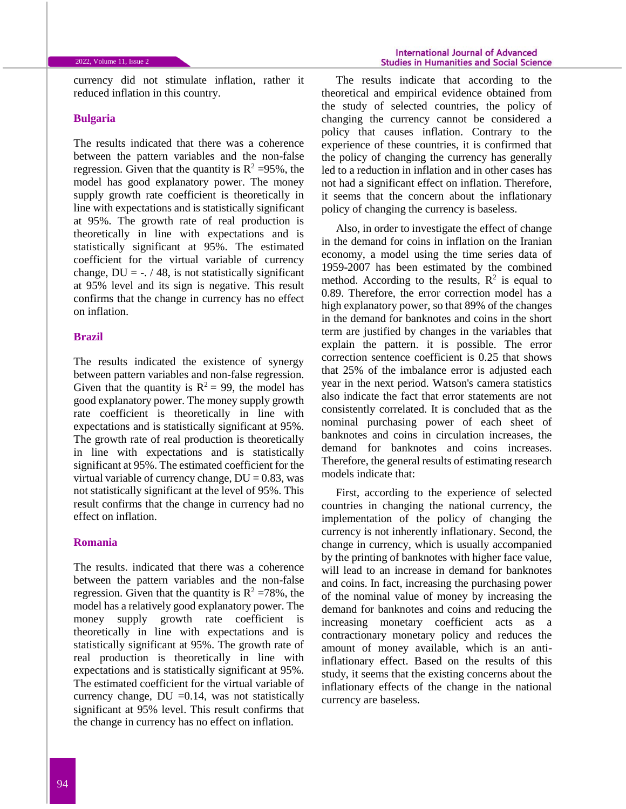currency did not stimulate inflation, rather it reduced inflation in this country.

### **Bulgaria**

The results indicated that there was a coherence between the pattern variables and the non-false regression. Given that the quantity is  $R^2 = 95\%$ , the model has good explanatory power. The money supply growth rate coefficient is theoretically in line with expectations and is statistically significant at 95%. The growth rate of real production is theoretically in line with expectations and is statistically significant at 95%. The estimated coefficient for the virtual variable of currency change,  $DU = -1/48$ , is not statistically significant at 95% level and its sign is negative. This result confirms that the change in currency has no effect on inflation.

### **Brazil**

The results indicated the existence of synergy between pattern variables and non-false regression. Given that the quantity is  $R^2 = 99$ , the model has good explanatory power. The money supply growth rate coefficient is theoretically in line with expectations and is statistically significant at 95%. The growth rate of real production is theoretically in line with expectations and is statistically significant at 95%. The estimated coefficient for the virtual variable of currency change,  $DU = 0.83$ , was not statistically significant at the level of 95%. This result confirms that the change in currency had no effect on inflation.

### **Romania**

The results. indicated that there was a coherence between the pattern variables and the non-false regression. Given that the quantity is  $R^2 = 78\%$ , the model has a relatively good explanatory power. The money supply growth rate coefficient is theoretically in line with expectations and is statistically significant at 95%. The growth rate of real production is theoretically in line with expectations and is statistically significant at 95%. The estimated coefficient for the virtual variable of currency change, DU =0.14, was not statistically significant at 95% level. This result confirms that the change in currency has no effect on inflation.

The results indicate that according to the theoretical and empirical evidence obtained from the study of selected countries, the policy of changing the currency cannot be considered a policy that causes inflation. Contrary to the experience of these countries, it is confirmed that the policy of changing the currency has generally led to a reduction in inflation and in other cases has not had a significant effect on inflation. Therefore, it seems that the concern about the inflationary policy of changing the currency is baseless.

Also, in order to investigate the effect of change in the demand for coins in inflation on the Iranian economy, a model using the time series data of 1959-2007 has been estimated by the combined method. According to the results,  $\mathbb{R}^2$  is equal to 0.89. Therefore, the error correction model has a high explanatory power, so that 89% of the changes in the demand for banknotes and coins in the short term are justified by changes in the variables that explain the pattern. it is possible. The error correction sentence coefficient is 0.25 that shows that 25% of the imbalance error is adjusted each year in the next period. Watson's camera statistics also indicate the fact that error statements are not consistently correlated. It is concluded that as the nominal purchasing power of each sheet of banknotes and coins in circulation increases, the demand for banknotes and coins increases. Therefore, the general results of estimating research models indicate that:

First, according to the experience of selected countries in changing the national currency, the implementation of the policy of changing the currency is not inherently inflationary. Second, the change in currency, which is usually accompanied by the printing of banknotes with higher face value, will lead to an increase in demand for banknotes and coins. In fact, increasing the purchasing power of the nominal value of money by increasing the demand for banknotes and coins and reducing the increasing monetary coefficient acts as a contractionary monetary policy and reduces the amount of money available, which is an antiinflationary effect. Based on the results of this study, it seems that the existing concerns about the inflationary effects of the change in the national currency are baseless.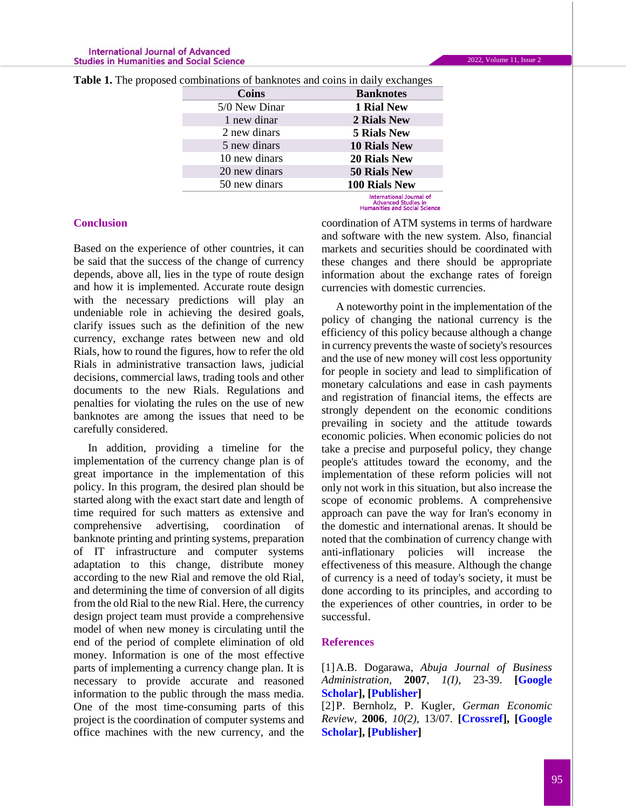| a comomations of bankholes and coms in darry exchanges |               |                                                                                         |
|--------------------------------------------------------|---------------|-----------------------------------------------------------------------------------------|
|                                                        | Coins         | <b>Banknotes</b>                                                                        |
|                                                        | 5/0 New Dinar | 1 Rial New                                                                              |
|                                                        | 1 new dinar   | 2 Rials New                                                                             |
|                                                        | 2 new dinars  | <b>5 Rials New</b>                                                                      |
|                                                        | 5 new dinars  | <b>10 Rials New</b>                                                                     |
|                                                        | 10 new dinars | <b>20 Rials New</b>                                                                     |
|                                                        | 20 new dinars | <b>50 Rials New</b>                                                                     |
|                                                        | 50 new dinars | <b>100 Rials New</b>                                                                    |
|                                                        |               | <b>International Journal of</b><br>Advanced Studies in<br>Humanities and Social Science |

Table 1. The proposed combinations of banknotes and coins in daily exchanges

#### **Conclusion**

Based on the experience of other countries, it can be said that the success of the change of currency depends, above all, lies in the type of route design and how it is implemented. Accurate route design with the necessary predictions will play an undeniable role in achieving the desired goals, clarify issues such as the definition of the new currency, exchange rates between new and old Rials, how to round the figures, how to refer the old Rials in administrative transaction laws, judicial decisions, commercial laws, trading tools and other documents to the new Rials. Regulations and penalties for violating the rules on the use of new banknotes are among the issues that need to be carefully considered.

In addition, providing a timeline for the implementation of the currency change plan is of great importance in the implementation of this policy. In this program, the desired plan should be started along with the exact start date and length of time required for such matters as extensive and comprehensive advertising, coordination of banknote printing and printing systems, preparation of IT infrastructure and computer systems adaptation to this change, distribute money according to the new Rial and remove the old Rial, and determining the time of conversion of all digits from the old Rial to the new Rial. Here, the currency design project team must provide a comprehensive model of when new money is circulating until the end of the period of complete elimination of old money. Information is one of the most effective parts of implementing a currency change plan. It is necessary to provide accurate and reasoned information to the public through the mass media. One of the most time-consuming parts of this project is the coordination of computer systems and office machines with the new currency, and the coordination of ATM systems in terms of hardware and software with the new system. Also, financial markets and securities should be coordinated with these changes and there should be appropriate information about the exchange rates of foreign currencies with domestic currencies.

A noteworthy point in the implementation of the policy of changing the national currency is the efficiency of this policy because although a change in currency prevents the waste of society's resources and the use of new money will cost less opportunity for people in society and lead to simplification of monetary calculations and ease in cash payments and registration of financial items, the effects are strongly dependent on the economic conditions prevailing in society and the attitude towards economic policies. When economic policies do not take a precise and purposeful policy, they change people's attitudes toward the economy, and the implementation of these reform policies will not only not work in this situation, but also increase the scope of economic problems. A comprehensive approach can pave the way for Iran's economy in the domestic and international arenas. It should be noted that the combination of currency change with anti-inflationary policies will increase the effectiveness of this measure. Although the change of currency is a need of today's society, it must be done according to its principles, and according to the experiences of other countries, in order to be successful.

# **References**

[1]A.B. Dogarawa, *Abuja Journal of Business Administration*, **2007**, *1(I)*, 23-39. **[\[Google](https://scholar.google.com/scholar?hl=en&as_sdt=0%2C5&scioq=%5B7%5D+Shakeri%2C+Abbas+%282000%29.++The+nature+of+inflation+in+the+Iranian+economy%22Study+of+the+nature+of+inflation+in+the+Iranian+economy%22.+PhD+Thesis%2C+Faculty+of+Economics+and+Political+Science%2C+Shahid+Beheshti+University&q=Ahmad+Bello+Dogarawa+%282007%29%3A%22+The+Economics+of+Currency+Redenomination%3A+An+Appraisal+of+CBN+Redenomination+Proposal+%D8%8C%22Department+of+Accounting%2C+Ahmadu+Bello+University%2C+Zaria-Nigeria++Available+at++http%3A%2F%2Fmpra.ub.uni-muenchen.+de%2F23195+%2F+MPRA+Paper+N&btnG=)  [Scholar\]](https://scholar.google.com/scholar?hl=en&as_sdt=0%2C5&scioq=%5B7%5D+Shakeri%2C+Abbas+%282000%29.++The+nature+of+inflation+in+the+Iranian+economy%22Study+of+the+nature+of+inflation+in+the+Iranian+economy%22.+PhD+Thesis%2C+Faculty+of+Economics+and+Political+Science%2C+Shahid+Beheshti+University&q=Ahmad+Bello+Dogarawa+%282007%29%3A%22+The+Economics+of+Currency+Redenomination%3A+An+Appraisal+of+CBN+Redenomination+Proposal+%D8%8C%22Department+of+Accounting%2C+Ahmadu+Bello+University%2C+Zaria-Nigeria++Available+at++http%3A%2F%2Fmpra.ub.uni-muenchen.+de%2F23195+%2F+MPRA+Paper+N&btnG=), [\[Publisher\]](https://mpra.ub.uni-muenchen.de/23195/)**

[2]P. Bernholz, P. Kugler, *German Economic Review*, **2006**, *10(2)*, 13/07. **[\[Crossref\]](https://doi.org/10.1111/j.1468-0475.2008.00452.x), [\[Google](https://scholar.google.com/scholar?hl=en&as_sdt=0%2C5&scioq=%5B7%5D+Shakeri%2C+Abbas+%282000%29.++The+nature+of+inflation+in+the+Iranian+economy%22Study+of+the+nature+of+inflation+in+the+Iranian+economy%22.+PhD+Thesis%2C+Faculty+of+Economics+and+Political+Science%2C+Shahid+Beheshti+University&q=P.+Bernholz%2C+P.+Kugler+%282006%29%3A%22+The+Success+of+Currency+Reforms+to+End+Great+Inflations%3A+An+Empirical+Analysis+of+34+High+Inflations%22%2C+WWZ+Working+Paper+13%2F07&btnG=)  [Scholar\]](https://scholar.google.com/scholar?hl=en&as_sdt=0%2C5&scioq=%5B7%5D+Shakeri%2C+Abbas+%282000%29.++The+nature+of+inflation+in+the+Iranian+economy%22Study+of+the+nature+of+inflation+in+the+Iranian+economy%22.+PhD+Thesis%2C+Faculty+of+Economics+and+Political+Science%2C+Shahid+Beheshti+University&q=P.+Bernholz%2C+P.+Kugler+%282006%29%3A%22+The+Success+of+Currency+Reforms+to+End+Great+Inflations%3A+An+Empirical+Analysis+of+34+High+Inflations%22%2C+WWZ+Working+Paper+13%2F07&btnG=), [\[Publisher\]](https://www.degruyter.com/document/doi/10.1111/j.1468-0475.2008.00452.x/html)**